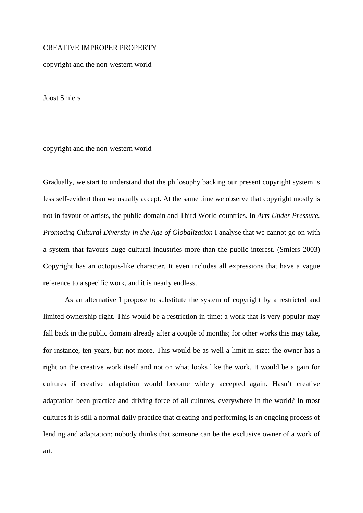# CREATIVE IMPROPER PROPERTY

copyright and the non-western world

Joost Smiers

# copyright and the non-western world

Gradually, we start to understand that the philosophy backing our present copyright system is less self-evident than we usually accept. At the same time we observe that copyright mostly is not in favour of artists, the public domain and Third World countries. In *Arts Under Pressure. Promoting Cultural Diversity in the Age of Globalization* I analyse that we cannot go on with a system that favours huge cultural industries more than the public interest. (Smiers 2003) Copyright has an octopus-like character. It even includes all expressions that have a vague reference to a specific work, and it is nearly endless.

 As an alternative I propose to substitute the system of copyright by a restricted and limited ownership right. This would be a restriction in time: a work that is very popular may fall back in the public domain already after a couple of months; for other works this may take, for instance, ten years, but not more. This would be as well a limit in size: the owner has a right on the creative work itself and not on what looks like the work. It would be a gain for cultures if creative adaptation would become widely accepted again. Hasn't creative adaptation been practice and driving force of all cultures, everywhere in the world? In most cultures it is still a normal daily practice that creating and performing is an ongoing process of lending and adaptation; nobody thinks that someone can be the exclusive owner of a work of art.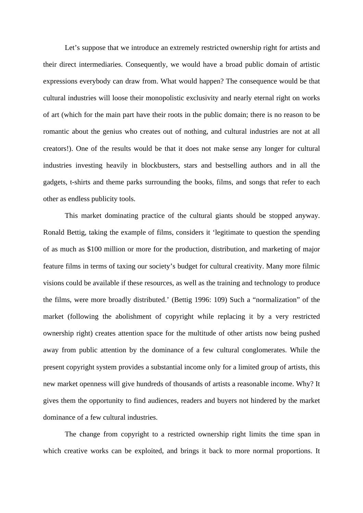Let's suppose that we introduce an extremely restricted ownership right for artists and their direct intermediaries. Consequently, we would have a broad public domain of artistic expressions everybody can draw from. What would happen? The consequence would be that cultural industries will loose their monopolistic exclusivity and nearly eternal right on works of art (which for the main part have their roots in the public domain; there is no reason to be romantic about the genius who creates out of nothing, and cultural industries are not at all creators!). One of the results would be that it does not make sense any longer for cultural industries investing heavily in blockbusters, stars and bestselling authors and in all the gadgets, t-shirts and theme parks surrounding the books, films, and songs that refer to each other as endless publicity tools.

 This market dominating practice of the cultural giants should be stopped anyway. Ronald Bettig, taking the example of films, considers it 'legitimate to question the spending of as much as \$100 million or more for the production, distribution, and marketing of major feature films in terms of taxing our society's budget for cultural creativity. Many more filmic visions could be available if these resources, as well as the training and technology to produce the films, were more broadly distributed.' (Bettig 1996: 109) Such a "normalization" of the market (following the abolishment of copyright while replacing it by a very restricted ownership right) creates attention space for the multitude of other artists now being pushed away from public attention by the dominance of a few cultural conglomerates. While the present copyright system provides a substantial income only for a limited group of artists, this new market openness will give hundreds of thousands of artists a reasonable income. Why? It gives them the opportunity to find audiences, readers and buyers not hindered by the market dominance of a few cultural industries.

 The change from copyright to a restricted ownership right limits the time span in which creative works can be exploited, and brings it back to more normal proportions. It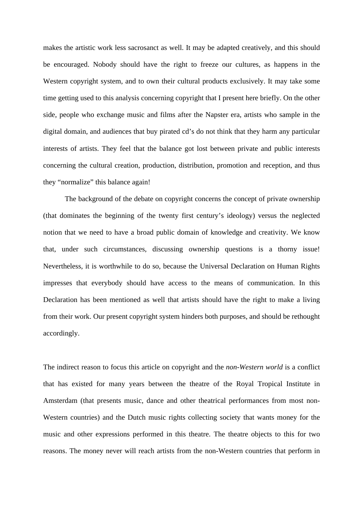makes the artistic work less sacrosanct as well. It may be adapted creatively, and this should be encouraged. Nobody should have the right to freeze our cultures, as happens in the Western copyright system, and to own their cultural products exclusively. It may take some time getting used to this analysis concerning copyright that I present here briefly. On the other side, people who exchange music and films after the Napster era, artists who sample in the digital domain, and audiences that buy pirated cd's do not think that they harm any particular interests of artists. They feel that the balance got lost between private and public interests concerning the cultural creation, production, distribution, promotion and reception, and thus they "normalize" this balance again!

The background of the debate on copyright concerns the concept of private ownership (that dominates the beginning of the twenty first century's ideology) versus the neglected notion that we need to have a broad public domain of knowledge and creativity. We know that, under such circumstances, discussing ownership questions is a thorny issue! Nevertheless, it is worthwhile to do so, because the Universal Declaration on Human Rights impresses that everybody should have access to the means of communication. In this Declaration has been mentioned as well that artists should have the right to make a living from their work. Our present copyright system hinders both purposes, and should be rethought accordingly.

The indirect reason to focus this article on copyright and the *non-Western world* is a conflict that has existed for many years between the theatre of the Royal Tropical Institute in Amsterdam (that presents music, dance and other theatrical performances from most non-Western countries) and the Dutch music rights collecting society that wants money for the music and other expressions performed in this theatre. The theatre objects to this for two reasons. The money never will reach artists from the non-Western countries that perform in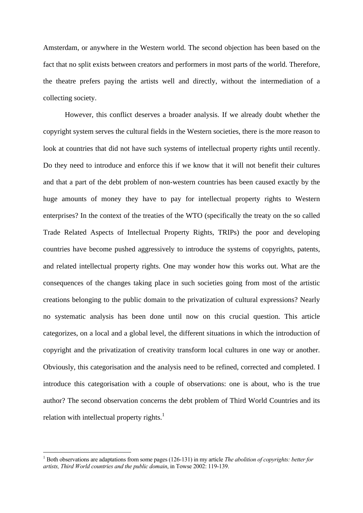Amsterdam, or anywhere in the Western world. The second objection has been based on the fact that no split exists between creators and performers in most parts of the world. Therefore, the theatre prefers paying the artists well and directly, without the intermediation of a collecting society.

 However, this conflict deserves a broader analysis. If we already doubt whether the copyright system serves the cultural fields in the Western societies, there is the more reason to look at countries that did not have such systems of intellectual property rights until recently. Do they need to introduce and enforce this if we know that it will not benefit their cultures and that a part of the debt problem of non-western countries has been caused exactly by the huge amounts of money they have to pay for intellectual property rights to Western enterprises? In the context of the treaties of the WTO (specifically the treaty on the so called Trade Related Aspects of Intellectual Property Rights, TRIPs) the poor and developing countries have become pushed aggressively to introduce the systems of copyrights, patents, and related intellectual property rights. One may wonder how this works out. What are the consequences of the changes taking place in such societies going from most of the artistic creations belonging to the public domain to the privatization of cultural expressions? Nearly no systematic analysis has been done until now on this crucial question. This article categorizes, on a local and a global level, the different situations in which the introduction of copyright and the privatization of creativity transform local cultures in one way or another. Obviously, this categorisation and the analysis need to be refined, corrected and completed. I introduce this categorisation with a couple of observations: one is about, who is the true author? The second observation concerns the debt problem of Third World Countries and its relation with intellectual property rights. $<sup>1</sup>$  $<sup>1</sup>$  $<sup>1</sup>$ </sup>

1

<span id="page-3-0"></span><sup>&</sup>lt;sup>1</sup> Both observations are adaptations from some pages (126-131) in my article *The abolition of copyrights: better for artists, Third World countries and the public domain*, in Towse 2002: 119-139.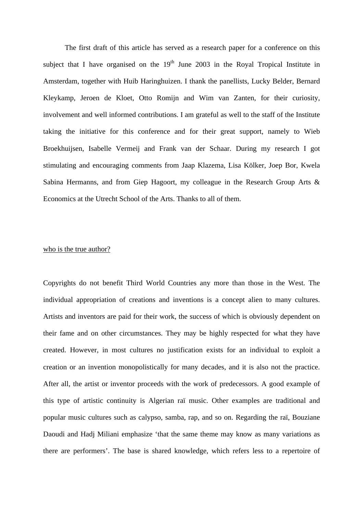The first draft of this article has served as a research paper for a conference on this subject that I have organised on the  $19<sup>th</sup>$  June 2003 in the Royal Tropical Institute in Amsterdam, together with Huib Haringhuizen. I thank the panellists, Lucky Belder, Bernard Kleykamp, Jeroen de Kloet, Otto Romijn and Wim van Zanten, for their curiosity, involvement and well informed contributions. I am grateful as well to the staff of the Institute taking the initiative for this conference and for their great support, namely to Wieb Broekhuijsen, Isabelle Vermeij and Frank van der Schaar. During my research I got stimulating and encouraging comments from Jaap Klazema, Lisa Kölker, Joep Bor, Kwela Sabina Hermanns, and from Giep Hagoort, my colleague in the Research Group Arts & Economics at the Utrecht School of the Arts. Thanks to all of them.

# who is the true author?

Copyrights do not benefit Third World Countries any more than those in the West. The individual appropriation of creations and inventions is a concept alien to many cultures. Artists and inventors are paid for their work, the success of which is obviously dependent on their fame and on other circumstances. They may be highly respected for what they have created. However, in most cultures no justification exists for an individual to exploit a creation or an invention monopolistically for many decades, and it is also not the practice. After all, the artist or inventor proceeds with the work of predecessors. A good example of this type of artistic continuity is Algerian raï music. Other examples are traditional and popular music cultures such as calypso, samba, rap, and so on. Regarding the raï, Bouziane Daoudi and Hadj Miliani emphasize 'that the same theme may know as many variations as there are performers'. The base is shared knowledge, which refers less to a repertoire of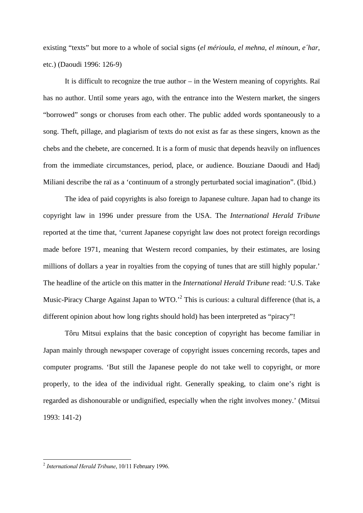existing "texts" but more to a whole of social signs (*el mérioula, el mehna, el minoun, e´har*, etc.) (Daoudi 1996: 126-9)

 It is difficult to recognize the true author – in the Western meaning of copyrights. Raï has no author. Until some years ago, with the entrance into the Western market, the singers "borrowed" songs or choruses from each other. The public added words spontaneously to a song. Theft, pillage, and plagiarism of texts do not exist as far as these singers, known as the chebs and the chebete, are concerned. It is a form of music that depends heavily on influences from the immediate circumstances, period, place, or audience. Bouziane Daoudi and Hadj Miliani describe the raï as a 'continuum of a strongly perturbated social imagination". (Ibid.)

 The idea of paid copyrights is also foreign to Japanese culture. Japan had to change its copyright law in 1996 under pressure from the USA. The *International Herald Tribune* reported at the time that, 'current Japanese copyright law does not protect foreign recordings made before 1971, meaning that Western record companies, by their estimates, are losing millions of dollars a year in royalties from the copying of tunes that are still highly popular.' The headline of the article on this matter in the *International Herald Tribune* read: 'U.S. Take Music-Piracy Charge Against Japan to WTO.<sup>2</sup> This is curious: a cultural difference (that is, a different opinion about how long rights should hold) has been interpreted as "piracy"!

 Tôru Mitsui explains that the basic conception of copyright has become familiar in Japan mainly through newspaper coverage of copyright issues concerning records, tapes and computer programs. 'But still the Japanese people do not take well to copyright, or more properly, to the idea of the individual right. Generally speaking, to claim one's right is regarded as dishonourable or undignified, especially when the right involves money.' (Mitsui 1993: 141-2)

<u>.</u>

<span id="page-5-0"></span><sup>2</sup> *International Herald Tribune*, 10/11 February 1996.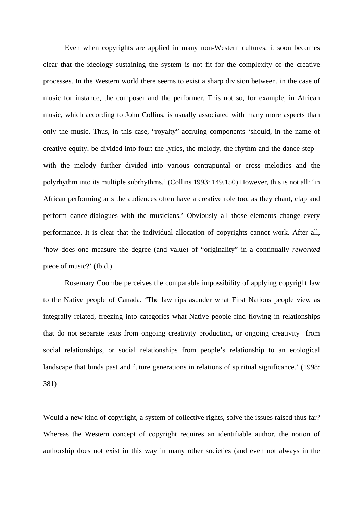Even when copyrights are applied in many non-Western cultures, it soon becomes clear that the ideology sustaining the system is not fit for the complexity of the creative processes. In the Western world there seems to exist a sharp division between, in the case of music for instance, the composer and the performer. This not so, for example, in African music, which according to John Collins, is usually associated with many more aspects than only the music. Thus, in this case, "royalty"-accruing components 'should, in the name of creative equity, be divided into four: the lyrics, the melody, the rhythm and the dance-step – with the melody further divided into various contrapuntal or cross melodies and the polyrhythm into its multiple subrhythms.' (Collins 1993: 149,150) However, this is not all: 'in African performing arts the audiences often have a creative role too, as they chant, clap and perform dance-dialogues with the musicians.' Obviously all those elements change every performance. It is clear that the individual allocation of copyrights cannot work. After all, 'how does one measure the degree (and value) of "originality" in a continually *reworked* piece of music?' (Ibid.)

 Rosemary Coombe perceives the comparable impossibility of applying copyright law to the Native people of Canada. 'The law rips asunder what First Nations people view as integrally related, freezing into categories what Native people find flowing in relationships that do not separate texts from ongoing creativity production, or ongoing creativity from social relationships, or social relationships from people's relationship to an ecological landscape that binds past and future generations in relations of spiritual significance.' (1998: 381)

Would a new kind of copyright, a system of collective rights, solve the issues raised thus far? Whereas the Western concept of copyright requires an identifiable author, the notion of authorship does not exist in this way in many other societies (and even not always in the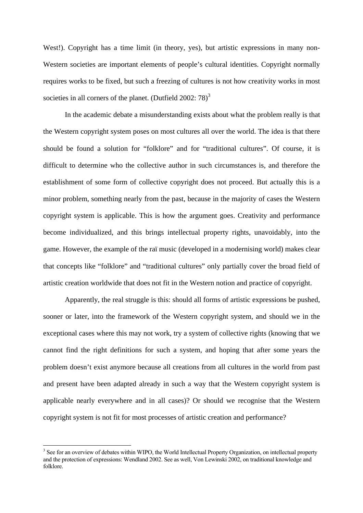West!). Copyright has a time limit (in theory, yes), but artistic expressions in many non-Western societies are important elements of people's cultural identities. Copyright normally requires works to be fixed, but such a freezing of cultures is not how creativity works in most societies in all corners of the planet. (Dutfield 2002:  $78$ )<sup>[3](#page-7-0)</sup>

 In the academic debate a misunderstanding exists about what the problem really is that the Western copyright system poses on most cultures all over the world. The idea is that there should be found a solution for "folklore" and for "traditional cultures". Of course, it is difficult to determine who the collective author in such circumstances is, and therefore the establishment of some form of collective copyright does not proceed. But actually this is a minor problem, something nearly from the past, because in the majority of cases the Western copyright system is applicable. This is how the argument goes. Creativity and performance become individualized, and this brings intellectual property rights, unavoidably, into the game. However, the example of the raï music (developed in a modernising world) makes clear that concepts like "folklore" and "traditional cultures" only partially cover the broad field of artistic creation worldwide that does not fit in the Western notion and practice of copyright.

 Apparently, the real struggle is this: should all forms of artistic expressions be pushed, sooner or later, into the framework of the Western copyright system, and should we in the exceptional cases where this may not work, try a system of collective rights (knowing that we cannot find the right definitions for such a system, and hoping that after some years the problem doesn't exist anymore because all creations from all cultures in the world from past and present have been adapted already in such a way that the Western copyright system is applicable nearly everywhere and in all cases)? Or should we recognise that the Western copyright system is not fit for most processes of artistic creation and performance?

1

<span id="page-7-0"></span><sup>&</sup>lt;sup>3</sup> See for an overview of debates within WIPO, the World Intellectual Property Organization, on intellectual property and the protection of expressions: Wendland 2002. See as well, Von Lewinski 2002, on traditional knowledge and folklore.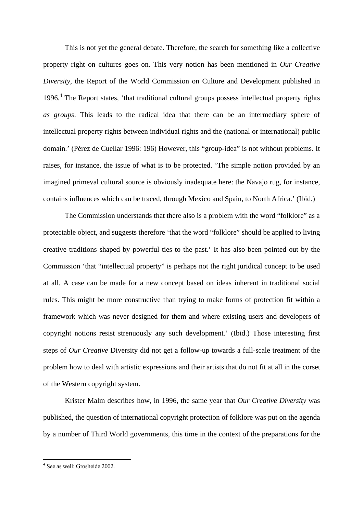This is not yet the general debate. Therefore, the search for something like a collective property right on cultures goes on. This very notion has been mentioned in *Our Creative Diversity*, the Report of the World Commission on Culture and Development published in 1996.<sup>[4](#page-8-0)</sup> The Report states, 'that traditional cultural groups possess intellectual property rights *as groups*. This leads to the radical idea that there can be an intermediary sphere of intellectual property rights between individual rights and the (national or international) public domain.' (Pérez de Cuellar 1996: 196) However, this "group-idea" is not without problems. It raises, for instance, the issue of what is to be protected. 'The simple notion provided by an imagined primeval cultural source is obviously inadequate here: the Navajo rug, for instance, contains influences which can be traced, through Mexico and Spain, to North Africa.' (Ibid.)

 The Commission understands that there also is a problem with the word "folklore" as a protectable object, and suggests therefore 'that the word "folklore" should be applied to living creative traditions shaped by powerful ties to the past.' It has also been pointed out by the Commission 'that "intellectual property" is perhaps not the right juridical concept to be used at all. A case can be made for a new concept based on ideas inherent in traditional social rules. This might be more constructive than trying to make forms of protection fit within a framework which was never designed for them and where existing users and developers of copyright notions resist strenuously any such development.' (Ibid.) Those interesting first steps of *Our Creative* Diversity did not get a follow-up towards a full-scale treatment of the problem how to deal with artistic expressions and their artists that do not fit at all in the corset of the Western copyright system.

 Krister Malm describes how, in 1996, the same year that *Our Creative Diversity* was published, the question of international copyright protection of folklore was put on the agenda by a number of Third World governments, this time in the context of the preparations for the

 $\overline{a}$ 

<span id="page-8-0"></span><sup>4</sup> See as well: Grosheide 2002.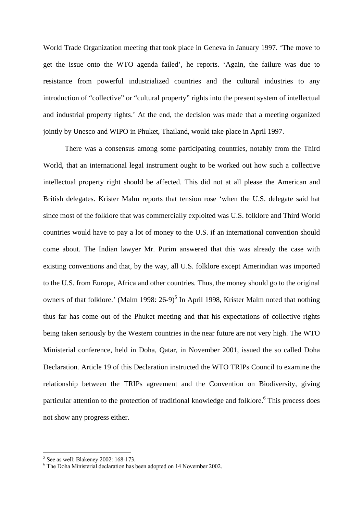World Trade Organization meeting that took place in Geneva in January 1997. 'The move to get the issue onto the WTO agenda failed', he reports. 'Again, the failure was due to resistance from powerful industrialized countries and the cultural industries to any introduction of "collective" or "cultural property" rights into the present system of intellectual and industrial property rights.' At the end, the decision was made that a meeting organized jointly by Unesco and WIPO in Phuket, Thailand, would take place in April 1997.

 There was a consensus among some participating countries, notably from the Third World, that an international legal instrument ought to be worked out how such a collective intellectual property right should be affected. This did not at all please the American and British delegates. Krister Malm reports that tension rose 'when the U.S. delegate said hat since most of the folklore that was commercially exploited was U.S. folklore and Third World countries would have to pay a lot of money to the U.S. if an international convention should come about. The Indian lawyer Mr. Purim answered that this was already the case with existing conventions and that, by the way, all U.S. folklore except Amerindian was imported to the U.S. from Europe, Africa and other countries. Thus, the money should go to the original owners of that folklore.' (Malm 1998:  $26-9$ )<sup>[5](#page-9-0)</sup> In April 1998, Krister Malm noted that nothing thus far has come out of the Phuket meeting and that his expectations of collective rights being taken seriously by the Western countries in the near future are not very high. The WTO Ministerial conference, held in Doha, Qatar, in November 2001, issued the so called Doha Declaration. Article 19 of this Declaration instructed the WTO TRIPs Council to examine the relationship between the TRIPs agreement and the Convention on Biodiversity, giving particular attention to the protection of traditional knowledge and folklore.<sup>6</sup> This process does not show any progress either.

1

<span id="page-9-0"></span><sup>5</sup> See as well: Blakeney 2002: 168-173.

<span id="page-9-1"></span><sup>6</sup> The Doha Ministerial declaration has been adopted on 14 November 2002.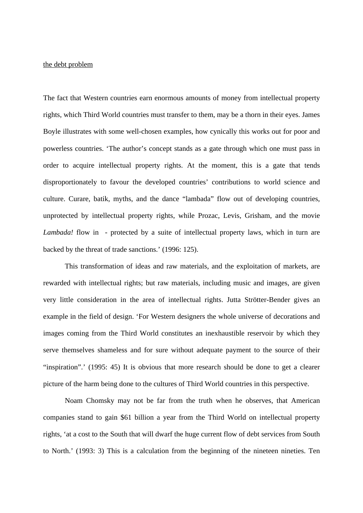# the debt problem

The fact that Western countries earn enormous amounts of money from intellectual property rights, which Third World countries must transfer to them, may be a thorn in their eyes. James Boyle illustrates with some well-chosen examples, how cynically this works out for poor and powerless countries. 'The author's concept stands as a gate through which one must pass in order to acquire intellectual property rights. At the moment, this is a gate that tends disproportionately to favour the developed countries' contributions to world science and culture. Curare, batik, myths, and the dance "lambada" flow out of developing countries, unprotected by intellectual property rights, while Prozac, Levis, Grisham, and the movie *Lambada!* flow in - protected by a suite of intellectual property laws, which in turn are backed by the threat of trade sanctions.' (1996: 125).

 This transformation of ideas and raw materials, and the exploitation of markets, are rewarded with intellectual rights; but raw materials, including music and images, are given very little consideration in the area of intellectual rights. Jutta Strötter-Bender gives an example in the field of design. 'For Western designers the whole universe of decorations and images coming from the Third World constitutes an inexhaustible reservoir by which they serve themselves shameless and for sure without adequate payment to the source of their "inspiration".' (1995: 45) It is obvious that more research should be done to get a clearer picture of the harm being done to the cultures of Third World countries in this perspective.

 Noam Chomsky may not be far from the truth when he observes, that American companies stand to gain \$61 billion a year from the Third World on intellectual property rights, 'at a cost to the South that will dwarf the huge current flow of debt services from South to North.' (1993: 3) This is a calculation from the beginning of the nineteen nineties. Ten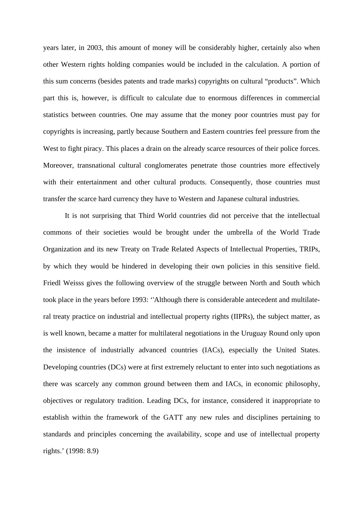years later, in 2003, this amount of money will be considerably higher, certainly also when other Western rights holding companies would be included in the calculation. A portion of this sum concerns (besides patents and trade marks) copyrights on cultural "products". Which part this is, however, is difficult to calculate due to enormous differences in commercial statistics between countries. One may assume that the money poor countries must pay for copyrights is increasing, partly because Southern and Eastern countries feel pressure from the West to fight piracy. This places a drain on the already scarce resources of their police forces. Moreover, transnational cultural conglomerates penetrate those countries more effectively with their entertainment and other cultural products. Consequently, those countries must transfer the scarce hard currency they have to Western and Japanese cultural industries.

 It is not surprising that Third World countries did not perceive that the intellectual commons of their societies would be brought under the umbrella of the World Trade Organization and its new Treaty on Trade Related Aspects of Intellectual Properties, TRIPs, by which they would be hindered in developing their own policies in this sensitive field. Friedl Weisss gives the following overview of the struggle between North and South which took place in the years before 1993: ''Although there is considerable antecedent and multilateral treaty practice on industrial and intellectual property rights (IIPRs), the subject matter, as is well known, became a matter for multilateral negotiations in the Uruguay Round only upon the insistence of industrially advanced countries (IACs), especially the United States. Developing countries (DCs) were at first extremely reluctant to enter into such negotiations as there was scarcely any common ground between them and IACs, in economic philosophy, objectives or regulatory tradition. Leading DCs, for instance, considered it inappropriate to establish within the framework of the GATT any new rules and disciplines pertaining to standards and principles concerning the availability, scope and use of intellectual property rights.' (1998: 8.9)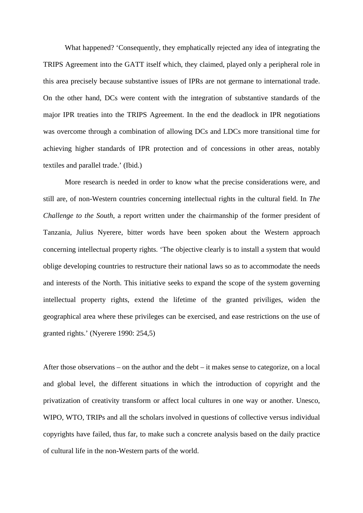What happened? 'Consequently, they emphatically rejected any idea of integrating the TRIPS Agreement into the GATT itself which, they claimed, played only a peripheral role in this area precisely because substantive issues of IPRs are not germane to international trade. On the other hand, DCs were content with the integration of substantive standards of the major IPR treaties into the TRIPS Agreement. In the end the deadlock in IPR negotiations was overcome through a combination of allowing DCs and LDCs more transitional time for achieving higher standards of IPR protection and of concessions in other areas, notably textiles and parallel trade.' (Ibid.)

 More research is needed in order to know what the precise considerations were, and still are, of non-Western countries concerning intellectual rights in the cultural field. In *The Challenge to the South*, a report written under the chairmanship of the former president of Tanzania, Julius Nyerere, bitter words have been spoken about the Western approach concerning intellectual property rights. 'The objective clearly is to install a system that would oblige developing countries to restructure their national laws so as to accommodate the needs and interests of the North. This initiative seeks to expand the scope of the system governing intellectual property rights, extend the lifetime of the granted priviliges, widen the geographical area where these privileges can be exercised, and ease restrictions on the use of granted rights.' (Nyerere 1990: 254,5)

After those observations – on the author and the debt – it makes sense to categorize, on a local and global level, the different situations in which the introduction of copyright and the privatization of creativity transform or affect local cultures in one way or another. Unesco, WIPO, WTO, TRIPs and all the scholars involved in questions of collective versus individual copyrights have failed, thus far, to make such a concrete analysis based on the daily practice of cultural life in the non-Western parts of the world.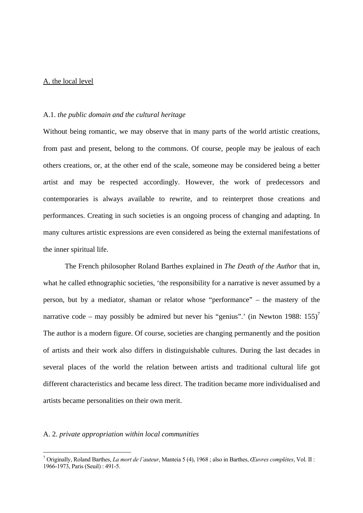# A. the local level

#### A.1. *the public domain and the cultural heritage*

Without being romantic, we may observe that in many parts of the world artistic creations, from past and present, belong to the commons. Of course, people may be jealous of each others creations, or, at the other end of the scale, someone may be considered being a better artist and may be respected accordingly. However, the work of predecessors and contemporaries is always available to rewrite, and to reinterpret those creations and performances. Creating in such societies is an ongoing process of changing and adapting. In many cultures artistic expressions are even considered as being the external manifestations of the inner spiritual life.

 The French philosopher Roland Barthes explained in *The Death of the Author* that in, what he called ethnographic societies, 'the responsibility for a narrative is never assumed by a person, but by a mediator, shaman or relator whose "performance" – the mastery of the narrative code – may possibly be admired but never his "genius".' (in Newton 1988:  $155$ )<sup>[7](#page-13-0)</sup> The author is a modern figure. Of course, societies are changing permanently and the position of artists and their work also differs in distinguishable cultures. During the last decades in several places of the world the relation between artists and traditional cultural life got different characteristics and became less direct. The tradition became more individualised and artists became personalities on their own merit.

#### A. 2. *private appropriation within local communities*

1

<span id="page-13-0"></span><sup>7</sup> Originally, Roland Barthes, *La mort de l'auteur*, Manteia 5 (4), 1968 ; also in Barthes, *Œuvres complètes*, Vol. II : 1966-1973, Paris (Seuil) : 491-5.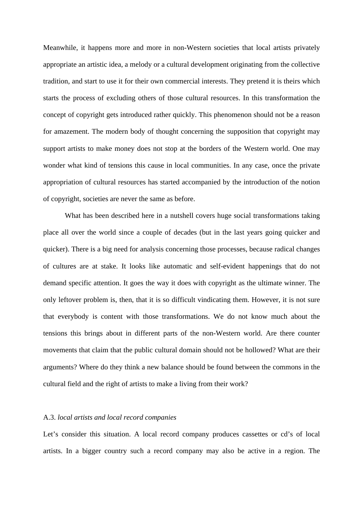Meanwhile, it happens more and more in non-Western societies that local artists privately appropriate an artistic idea, a melody or a cultural development originating from the collective tradition, and start to use it for their own commercial interests. They pretend it is theirs which starts the process of excluding others of those cultural resources. In this transformation the concept of copyright gets introduced rather quickly. This phenomenon should not be a reason for amazement. The modern body of thought concerning the supposition that copyright may support artists to make money does not stop at the borders of the Western world. One may wonder what kind of tensions this cause in local communities. In any case, once the private appropriation of cultural resources has started accompanied by the introduction of the notion of copyright, societies are never the same as before.

 What has been described here in a nutshell covers huge social transformations taking place all over the world since a couple of decades (but in the last years going quicker and quicker). There is a big need for analysis concerning those processes, because radical changes of cultures are at stake. It looks like automatic and self-evident happenings that do not demand specific attention. It goes the way it does with copyright as the ultimate winner. The only leftover problem is, then, that it is so difficult vindicating them. However, it is not sure that everybody is content with those transformations. We do not know much about the tensions this brings about in different parts of the non-Western world. Are there counter movements that claim that the public cultural domain should not be hollowed? What are their arguments? Where do they think a new balance should be found between the commons in the cultural field and the right of artists to make a living from their work?

# A.3. *local artists and local record companies*

Let's consider this situation. A local record company produces cassettes or cd's of local artists. In a bigger country such a record company may also be active in a region. The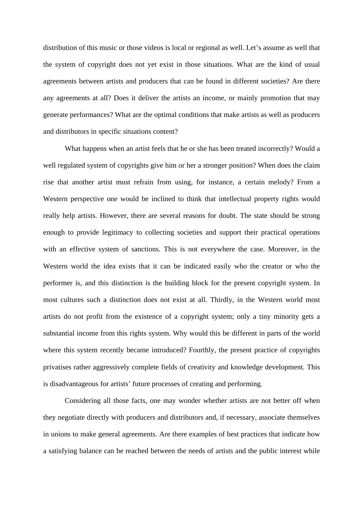distribution of this music or those videos is local or regional as well. Let's assume as well that the system of copyright does not yet exist in those situations. What are the kind of usual agreements between artists and producers that can be found in different societies? Are there any agreements at all? Does it deliver the artists an income, or mainly promotion that may generate performances? What are the optimal conditions that make artists as well as producers and distributors in specific situations content?

 What happens when an artist feels that he or she has been treated incorrectly? Would a well regulated system of copyrights give him or her a stronger position? When does the claim rise that another artist must refrain from using, for instance, a certain melody? From a Western perspective one would be inclined to think that intellectual property rights would really help artists. However, there are several reasons for doubt. The state should be strong enough to provide legitimacy to collecting societies and support their practical operations with an effective system of sanctions. This is not everywhere the case. Moreover, in the Western world the idea exists that it can be indicated easily who the creator or who the performer is, and this distinction is the building block for the present copyright system. In most cultures such a distinction does not exist at all. Thirdly, in the Western world most artists do not profit from the existence of a copyright system; only a tiny minority gets a substantial income from this rights system. Why would this be different in parts of the world where this system recently became introduced? Fourthly, the present practice of copyrights privatises rather aggressively complete fields of creativity and knowledge development. This is disadvantageous for artists' future processes of creating and performing.

 Considering all those facts, one may wonder whether artists are not better off when they negotiate directly with producers and distributors and, if necessary, associate themselves in unions to make general agreements. Are there examples of best practices that indicate how a satisfying balance can be reached between the needs of artists and the public interest while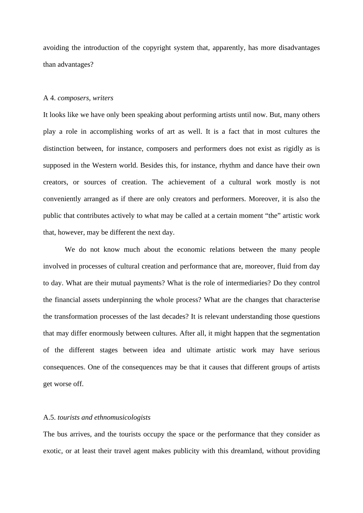avoiding the introduction of the copyright system that, apparently, has more disadvantages than advantages?

### A 4. *composers, writers*

It looks like we have only been speaking about performing artists until now. But, many others play a role in accomplishing works of art as well. It is a fact that in most cultures the distinction between, for instance, composers and performers does not exist as rigidly as is supposed in the Western world. Besides this, for instance, rhythm and dance have their own creators, or sources of creation. The achievement of a cultural work mostly is not conveniently arranged as if there are only creators and performers. Moreover, it is also the public that contributes actively to what may be called at a certain moment "the" artistic work that, however, may be different the next day.

 We do not know much about the economic relations between the many people involved in processes of cultural creation and performance that are, moreover, fluid from day to day. What are their mutual payments? What is the role of intermediaries? Do they control the financial assets underpinning the whole process? What are the changes that characterise the transformation processes of the last decades? It is relevant understanding those questions that may differ enormously between cultures. After all, it might happen that the segmentation of the different stages between idea and ultimate artistic work may have serious consequences. One of the consequences may be that it causes that different groups of artists get worse off.

## A.5. *tourists and ethnomusicologists*

The bus arrives, and the tourists occupy the space or the performance that they consider as exotic, or at least their travel agent makes publicity with this dreamland, without providing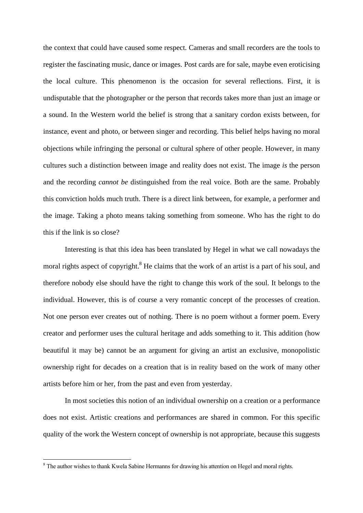the context that could have caused some respect. Cameras and small recorders are the tools to register the fascinating music, dance or images. Post cards are for sale, maybe even eroticising the local culture. This phenomenon is the occasion for several reflections. First, it is undisputable that the photographer or the person that records takes more than just an image or a sound. In the Western world the belief is strong that a sanitary cordon exists between, for instance, event and photo, or between singer and recording. This belief helps having no moral objections while infringing the personal or cultural sphere of other people. However, in many cultures such a distinction between image and reality does not exist. The image *is* the person and the recording *cannot be* distinguished from the real voice. Both are the same. Probably this conviction holds much truth. There is a direct link between, for example, a performer and the image. Taking a photo means taking something from someone. Who has the right to do this if the link is so close?

 Interesting is that this idea has been translated by Hegel in what we call nowadays the moral rights aspect of copyright.<sup>8</sup> He claims that the work of an artist is a part of his soul, and therefore nobody else should have the right to change this work of the soul. It belongs to the individual. However, this is of course a very romantic concept of the processes of creation. Not one person ever creates out of nothing. There is no poem without a former poem. Every creator and performer uses the cultural heritage and adds something to it. This addition (how beautiful it may be) cannot be an argument for giving an artist an exclusive, monopolistic ownership right for decades on a creation that is in reality based on the work of many other artists before him or her, from the past and even from yesterday.

 In most societies this notion of an individual ownership on a creation or a performance does not exist. Artistic creations and performances are shared in common. For this specific quality of the work the Western concept of ownership is not appropriate, because this suggests

<span id="page-17-0"></span><sup>&</sup>lt;sup>8</sup> The author wishes to thank Kwela Sabine Hermanns for drawing his attention on Hegel and moral rights.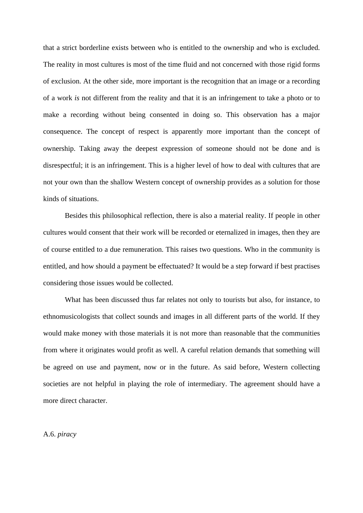that a strict borderline exists between who is entitled to the ownership and who is excluded. The reality in most cultures is most of the time fluid and not concerned with those rigid forms of exclusion. At the other side, more important is the recognition that an image or a recording of a work *is* not different from the reality and that it is an infringement to take a photo or to make a recording without being consented in doing so. This observation has a major consequence. The concept of respect is apparently more important than the concept of ownership. Taking away the deepest expression of someone should not be done and is disrespectful; it is an infringement. This is a higher level of how to deal with cultures that are not your own than the shallow Western concept of ownership provides as a solution for those kinds of situations.

 Besides this philosophical reflection, there is also a material reality. If people in other cultures would consent that their work will be recorded or eternalized in images, then they are of course entitled to a due remuneration. This raises two questions. Who in the community is entitled, and how should a payment be effectuated? It would be a step forward if best practises considering those issues would be collected.

 What has been discussed thus far relates not only to tourists but also, for instance, to ethnomusicologists that collect sounds and images in all different parts of the world. If they would make money with those materials it is not more than reasonable that the communities from where it originates would profit as well. A careful relation demands that something will be agreed on use and payment, now or in the future. As said before, Western collecting societies are not helpful in playing the role of intermediary. The agreement should have a more direct character.

A.6. *piracy*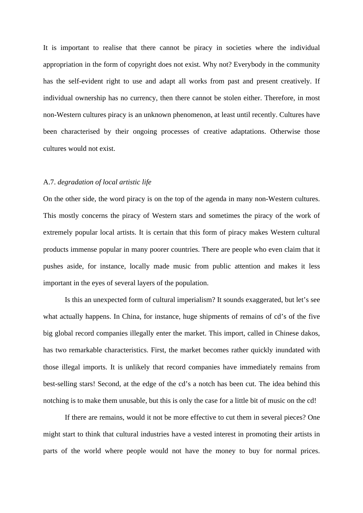It is important to realise that there cannot be piracy in societies where the individual appropriation in the form of copyright does not exist. Why not? Everybody in the community has the self-evident right to use and adapt all works from past and present creatively. If individual ownership has no currency, then there cannot be stolen either. Therefore, in most non-Western cultures piracy is an unknown phenomenon, at least until recently. Cultures have been characterised by their ongoing processes of creative adaptations. Otherwise those cultures would not exist.

# A.7. *degradation of local artistic life*

On the other side, the word piracy is on the top of the agenda in many non-Western cultures. This mostly concerns the piracy of Western stars and sometimes the piracy of the work of extremely popular local artists. It is certain that this form of piracy makes Western cultural products immense popular in many poorer countries. There are people who even claim that it pushes aside, for instance, locally made music from public attention and makes it less important in the eyes of several layers of the population.

 Is this an unexpected form of cultural imperialism? It sounds exaggerated, but let's see what actually happens. In China, for instance, huge shipments of remains of cd's of the five big global record companies illegally enter the market. This import, called in Chinese dakos, has two remarkable characteristics. First, the market becomes rather quickly inundated with those illegal imports. It is unlikely that record companies have immediately remains from best-selling stars! Second, at the edge of the cd's a notch has been cut. The idea behind this notching is to make them unusable, but this is only the case for a little bit of music on the cd!

 If there are remains, would it not be more effective to cut them in several pieces? One might start to think that cultural industries have a vested interest in promoting their artists in parts of the world where people would not have the money to buy for normal prices.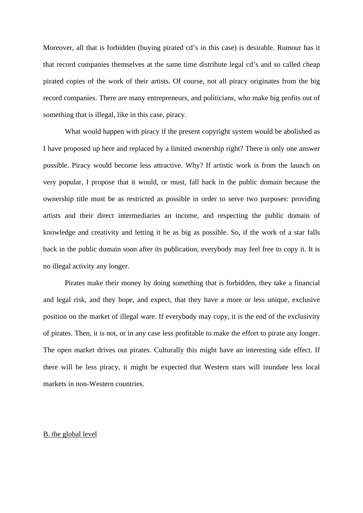Moreover, all that is forbidden (buying pirated cd's in this case) is desirable. Rumour has it that record companies themselves at the same time distribute legal cd's and so called cheap pirated copies of the work of their artists. Of course, not all piracy originates from the big record companies. There are many entrepreneurs, and politicians, who make big profits out of something that is illegal, like in this case, piracy.

 What would happen with piracy if the present copyright system would be abolished as I have proposed up here and replaced by a limited ownership right? There is only one answer possible. Piracy would become less attractive. Why? If artistic work is from the launch on very popular, I propose that it would, or must, fall back in the public domain because the ownership title must be as restricted as possible in order to serve two purposes: providing artists and their direct intermediaries an income, and respecting the public domain of knowledge and creativity and letting it be as big as possible. So, if the work of a star falls back in the public domain soon after its publication, everybody may feel free to copy it. It is no illegal activity any longer.

 Pirates make their money by doing something that is forbidden, they take a financial and legal risk, and they hope, and expect, that they have a more or less unique, exclusive position on the market of illegal ware. If everybody may copy, it is the end of the exclusivity of pirates. Then, it is not, or in any case less profitable to make the effort to pirate any longer. The open market drives out pirates. Culturally this might have an interesting side effect. If there will be less piracy, it might be expected that Western stars will inundate less local markets in non-Western countries.

# B. the global level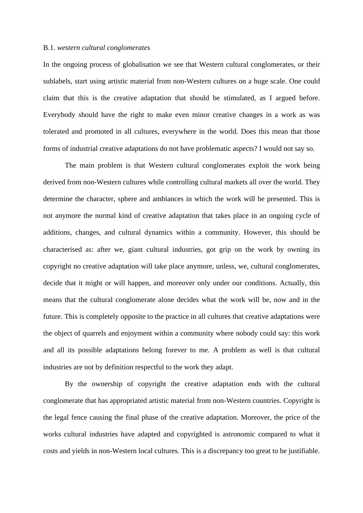#### B.1. *western cultural conglomerates*

In the ongoing process of globalisation we see that Western cultural conglomerates, or their sublabels, start using artistic material from non-Western cultures on a huge scale. One could claim that this is the creative adaptation that should be stimulated, as I argued before. Everybody should have the right to make even minor creative changes in a work as was tolerated and promoted in all cultures, everywhere in the world. Does this mean that those forms of industrial creative adaptations do not have problematic aspects? I would not say so.

 The main problem is that Western cultural conglomerates exploit the work being derived from non-Western cultures while controlling cultural markets all over the world. They determine the character, sphere and ambiances in which the work will be presented. This is not anymore the normal kind of creative adaptation that takes place in an ongoing cycle of additions, changes, and cultural dynamics within a community. However, this should be characterised as: after we, giant cultural industries, got grip on the work by owning its copyright no creative adaptation will take place anymore, unless, we, cultural conglomerates, decide that it might or will happen, and moreover only under our conditions. Actually, this means that the cultural conglomerate alone decides what the work will be, now and in the future. This is completely opposite to the practice in all cultures that creative adaptations were the object of quarrels and enjoyment within a community where nobody could say: this work and all its possible adaptations belong forever to me. A problem as well is that cultural industries are not by definition respectful to the work they adapt.

 By the ownership of copyright the creative adaptation ends with the cultural conglomerate that has appropriated artistic material from non-Western countries. Copyright is the legal fence causing the final phase of the creative adaptation. Moreover, the price of the works cultural industries have adapted and copyrighted is astronomic compared to what it costs and yields in non-Western local cultures. This is a discrepancy too great to be justifiable.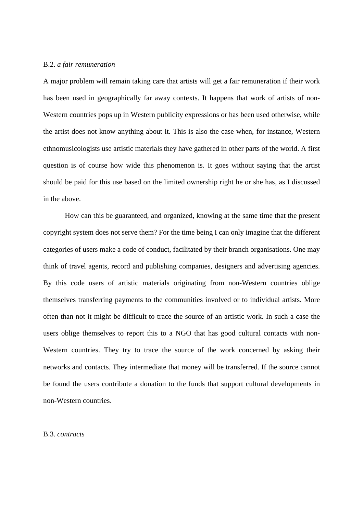# B.2. *a fair remuneration*

A major problem will remain taking care that artists will get a fair remuneration if their work has been used in geographically far away contexts. It happens that work of artists of non-Western countries pops up in Western publicity expressions or has been used otherwise, while the artist does not know anything about it. This is also the case when, for instance, Western ethnomusicologists use artistic materials they have gathered in other parts of the world. A first question is of course how wide this phenomenon is. It goes without saying that the artist should be paid for this use based on the limited ownership right he or she has, as I discussed in the above.

 How can this be guaranteed, and organized, knowing at the same time that the present copyright system does not serve them? For the time being I can only imagine that the different categories of users make a code of conduct, facilitated by their branch organisations. One may think of travel agents, record and publishing companies, designers and advertising agencies. By this code users of artistic materials originating from non-Western countries oblige themselves transferring payments to the communities involved or to individual artists. More often than not it might be difficult to trace the source of an artistic work. In such a case the users oblige themselves to report this to a NGO that has good cultural contacts with non-Western countries. They try to trace the source of the work concerned by asking their networks and contacts. They intermediate that money will be transferred. If the source cannot be found the users contribute a donation to the funds that support cultural developments in non-Western countries.

# B.3. *contracts*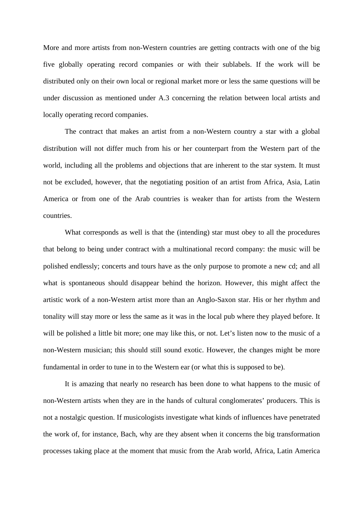More and more artists from non-Western countries are getting contracts with one of the big five globally operating record companies or with their sublabels. If the work will be distributed only on their own local or regional market more or less the same questions will be under discussion as mentioned under A.3 concerning the relation between local artists and locally operating record companies.

 The contract that makes an artist from a non-Western country a star with a global distribution will not differ much from his or her counterpart from the Western part of the world, including all the problems and objections that are inherent to the star system. It must not be excluded, however, that the negotiating position of an artist from Africa, Asia, Latin America or from one of the Arab countries is weaker than for artists from the Western countries.

 What corresponds as well is that the (intending) star must obey to all the procedures that belong to being under contract with a multinational record company: the music will be polished endlessly; concerts and tours have as the only purpose to promote a new cd; and all what is spontaneous should disappear behind the horizon. However, this might affect the artistic work of a non-Western artist more than an Anglo-Saxon star. His or her rhythm and tonality will stay more or less the same as it was in the local pub where they played before. It will be polished a little bit more; one may like this, or not. Let's listen now to the music of a non-Western musician; this should still sound exotic. However, the changes might be more fundamental in order to tune in to the Western ear (or what this is supposed to be).

 It is amazing that nearly no research has been done to what happens to the music of non-Western artists when they are in the hands of cultural conglomerates' producers. This is not a nostalgic question. If musicologists investigate what kinds of influences have penetrated the work of, for instance, Bach, why are they absent when it concerns the big transformation processes taking place at the moment that music from the Arab world, Africa, Latin America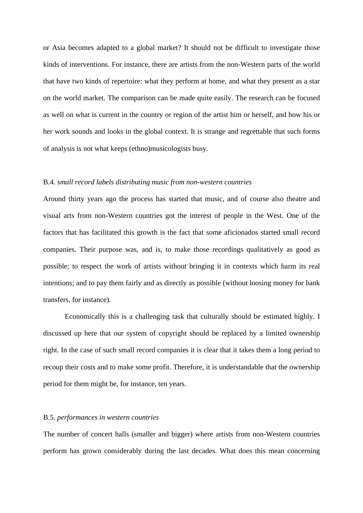or Asia becomes adapted to a global market? It should not be difficult to investigate those kinds of interventions. For instance, there are artists from the non-Western parts of the world that have two kinds of repertoire: what they perform at home, and what they present as a star on the world market. The comparison can be made quite easily. The research can be focused as well on what is current in the country or region of the artist him or herself, and how his or her work sounds and looks in the global context. It is strange and regrettable that such forms of analysis is not what keeps (ethno)musicologists busy.

#### B.4. *small record labels distributing music from non-western countries*

Around thirty years ago the process has started that music, and of course also theatre and visual arts from non-Western countries got the interest of people in the West. One of the factors that has facilitated this growth is the fact that some aficionados started small record companies. Their purpose was, and is, to make those recordings qualitatively as good as possible; to respect the work of artists without bringing it in contexts which harm its real intentions; and to pay them fairly and as directly as possible (without loosing money for bank transfers, for instance).

 Economically this is a challenging task that culturally should be estimated highly. I discussed up here that our system of copyright should be replaced by a limited ownership right. In the case of such small record companies it is clear that it takes them a long period to recoup their costs and to make some profit. Therefore, it is understandable that the ownership period for them might be, for instance, ten years.

# B.5. *performances in western countries*

The number of concert halls (smaller and bigger) where artists from non-Western countries perform has grown considerably during the last decades. What does this mean concerning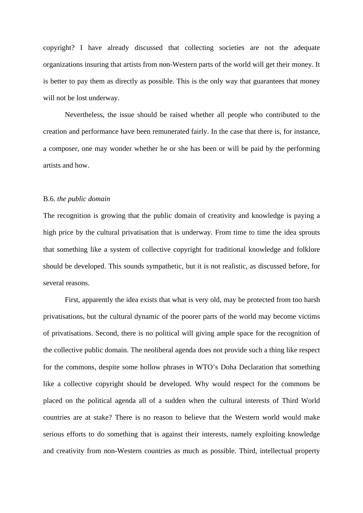copyright? I have already discussed that collecting societies are not the adequate organizations insuring that artists from non-Western parts of the world will get their money. It is better to pay them as directly as possible. This is the only way that guarantees that money will not be lost underway.

 Nevertheless, the issue should be raised whether all people who contributed to the creation and performance have been remunerated fairly. In the case that there is, for instance, a composer, one may wonder whether he or she has been or will be paid by the performing artists and how.

### B.6. *the public domain*

The recognition is growing that the public domain of creativity and knowledge is paying a high price by the cultural privatisation that is underway. From time to time the idea sprouts that something like a system of collective copyright for traditional knowledge and folklore should be developed. This sounds sympathetic, but it is not realistic, as discussed before, for several reasons.

 First, apparently the idea exists that what is very old, may be protected from too harsh privatisations, but the cultural dynamic of the poorer parts of the world may become victims of privatisations. Second, there is no political will giving ample space for the recognition of the collective public domain. The neoliberal agenda does not provide such a thing like respect for the commons, despite some hollow phrases in WTO's Doha Declaration that something like a collective copyright should be developed. Why would respect for the commons be placed on the political agenda all of a sudden when the cultural interests of Third World countries are at stake? There is no reason to believe that the Western world would make serious efforts to do something that is against their interests, namely exploiting knowledge and creativity from non-Western countries as much as possible. Third, intellectual property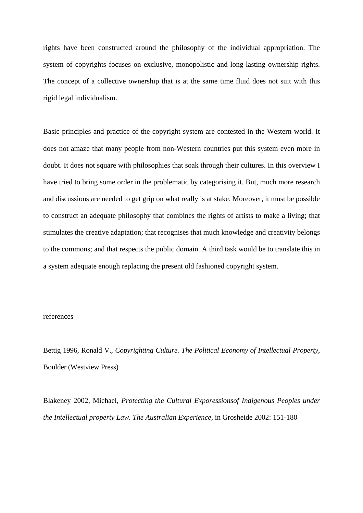rights have been constructed around the philosophy of the individual appropriation. The system of copyrights focuses on exclusive, monopolistic and long-lasting ownership rights. The concept of a collective ownership that is at the same time fluid does not suit with this rigid legal individualism.

Basic principles and practice of the copyright system are contested in the Western world. It does not amaze that many people from non-Western countries put this system even more in doubt. It does not square with philosophies that soak through their cultures. In this overview I have tried to bring some order in the problematic by categorising it. But, much more research and discussions are needed to get grip on what really is at stake. Moreover, it must be possible to construct an adequate philosophy that combines the rights of artists to make a living; that stimulates the creative adaptation; that recognises that much knowledge and creativity belongs to the commons; and that respects the public domain. A third task would be to translate this in a system adequate enough replacing the present old fashioned copyright system.

# references

Bettig 1996, Ronald V., *Copyrighting Culture. The Political Economy of Intellectual Property*, Boulder (Westview Press)

Blakeney 2002, Michael, *Protecting the Cultural Exporessionsof Indigenous Peoples under the Intellectual property Law. The Australian Experience*, in Grosheide 2002: 151-180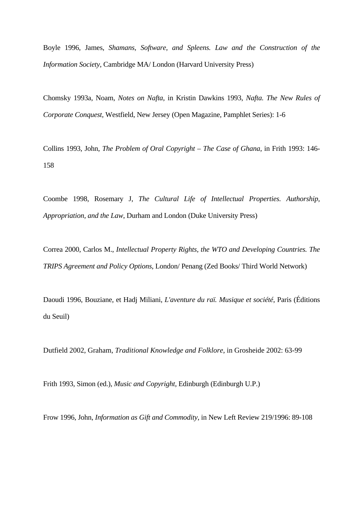Boyle 1996, James, *Shamans, Software, and Spleens. Law and the Construction of the Information Society*, Cambridge MA/ London (Harvard University Press)

Chomsky 1993a, Noam, *Notes on Nafta*, in Kristin Dawkins 1993, *Nafta. The New Rules of Corporate Conquest*, Westfield, New Jersey (Open Magazine, Pamphlet Series): 1-6

Collins 1993, John, *The Problem of Oral Copyright – The Case of Ghana*, in Frith 1993: 146- 158

Coombe 1998, Rosemary J, *The Cultural Life of Intellectual Properties. Authorship, Appropriation, and the Law*, Durham and London (Duke University Press)

Correa 2000, Carlos M., *Intellectual Property Rights, the WTO and Developing Countries. The TRIPS Agreement and Policy Options*, London/ Penang (Zed Books/ Third World Network)

Daoudi 1996, Bouziane, et Hadj Miliani, *L'aventure du raï. Musique et société*, Paris (Éditions du Seuil)

Dutfield 2002, Graham, *Traditional Knowledge and Folklore*, in Grosheide 2002: 63-99

Frith 1993, Simon (ed.), *Music and Copyright*, Edinburgh (Edinburgh U.P.)

Frow 1996, John, *Information as Gift and Commodity*, in New Left Review 219/1996: 89-108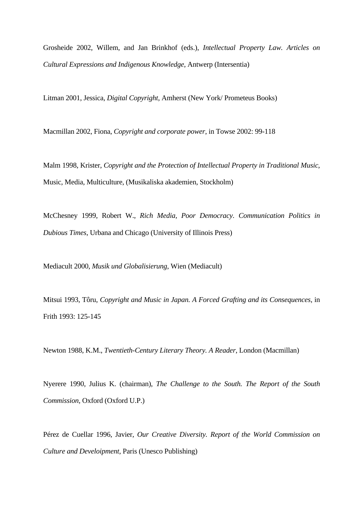Grosheide 2002, Willem, and Jan Brinkhof (eds.), *Intellectual Property Law. Articles on Cultural Expressions and Indigenous Knowledge*, Antwerp (Intersentia)

Litman 2001, Jessica, *Digital Copyright*, Amherst (New York/ Prometeus Books)

Macmillan 2002, Fiona, *Copyright and corporate power*, in Towse 2002: 99-118

Malm 1998, Krister, *Copyright and the Protection of Intellectual Property in Traditional Music*, Music, Media, Multiculture, (Musikaliska akademien, Stockholm)

McChesney 1999, Robert W., *Rich Media, Poor Democracy. Communication Politics in Dubious Times*, Urbana and Chicago (University of Illinois Press)

Mediacult 2000, *Musik und Globalisierung*, Wien (Mediacult)

Mitsui 1993, Tôru, *Copyright and Music in Japan. A Forced Grafting and its Consequences*, in Frith 1993: 125-145

Newton 1988, K.M., *Twentieth-Century Literary Theory. A Reader*, London (Macmillan)

Nyerere 1990, Julius K. (chairman), *The Challenge to the South. The Report of the South Commission*, Oxford (Oxford U.P.)

Pérez de Cuellar 1996, Javier, *Our Creative Diversity. Report of the World Commission on Culture and Develoipment*, Paris (Unesco Publishing)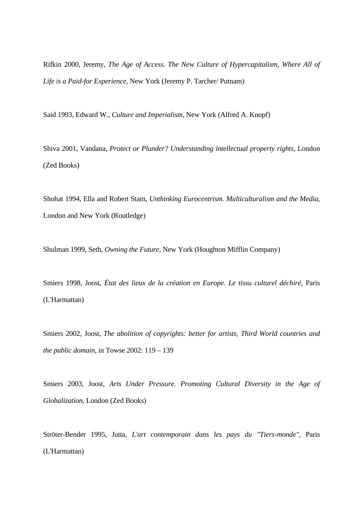Rifkin 2000, Jeremy, *The Age of Access. The New Culture of Hypercapitalism, Where All of Life is a Paid-for Experience*, New York (Jeremy P. Tarcher/ Putnam)

Said 1993, Edward W., *Culture and Imperialism*, New York (Alfred A. Knopf)

Shiva 2001, Vandana, *Protect or Plunder? Understanding intellectual property rights*, London (Zed Books)

Shohat 1994, Ella and Robert Stam, *Unthinking Eurocentrism. Multiculturalism and the Media*, London and New York (Routledge)

Shulman 1999, Seth, *Owning the Future*, New York (Houghton Mifflin Company)

Smiers 1998, Joost, *État des lieux de la création en Europe. Le tissu culturel déchiré*, Paris (L'Harmattan)

Smiers 2002, Joost, *The abolition of copyrights: better for artists, Third World countries and the public domain*, in Towse 2002: 119 – 139

Smiers 2003, Joost, *Arts Under Pressure. Promoting Cultural Diversity in the Age of Globalization*, London (Zed Books)

Ströter-Bender 1995, Jutta, *L'art contemporain dans les pays du "Tiers-monde"*, Paris (L'Harmattan)